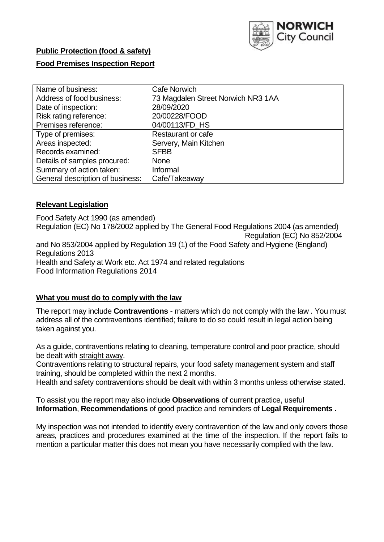

# **Public Protection (food & safety)**

# **Food Premises Inspection Report**

| Name of business:                | <b>Cafe Norwich</b>                |  |  |  |  |  |
|----------------------------------|------------------------------------|--|--|--|--|--|
| Address of food business:        | 73 Magdalen Street Norwich NR3 1AA |  |  |  |  |  |
| Date of inspection:              | 28/09/2020                         |  |  |  |  |  |
| Risk rating reference:           | 20/00228/FOOD                      |  |  |  |  |  |
| Premises reference:              | 04/00113/FD HS                     |  |  |  |  |  |
| Type of premises:                | Restaurant or cafe                 |  |  |  |  |  |
| Areas inspected:                 | Servery, Main Kitchen              |  |  |  |  |  |
| Records examined:                | <b>SFBB</b>                        |  |  |  |  |  |
| Details of samples procured:     | <b>None</b>                        |  |  |  |  |  |
| Summary of action taken:         | Informal                           |  |  |  |  |  |
| General description of business: | Cafe/Takeaway                      |  |  |  |  |  |

## **Relevant Legislation**

 Food Safety Act 1990 (as amended) Regulation (EC) No 178/2002 applied by The General Food Regulations 2004 (as amended) Regulation (EC) No 852/2004 and No 853/2004 applied by Regulation 19 (1) of the Food Safety and Hygiene (England) Health and Safety at Work etc. Act 1974 and related regulations Regulations 2013 Food Information Regulations 2014

## **What you must do to comply with the law**

 The report may include **Contraventions** - matters which do not comply with the law . You must address all of the contraventions identified; failure to do so could result in legal action being taken against you.

 As a guide, contraventions relating to cleaning, temperature control and poor practice, should be dealt with straight away.

 Contraventions relating to structural repairs, your food safety management system and staff training, should be completed within the next 2 months.

Health and safety contraventions should be dealt with within 3 months unless otherwise stated.

 To assist you the report may also include **Observations** of current practice, useful **Information**, **Recommendations** of good practice and reminders of **Legal Requirements .** 

 My inspection was not intended to identify every contravention of the law and only covers those areas, practices and procedures examined at the time of the inspection. If the report fails to mention a particular matter this does not mean you have necessarily complied with the law.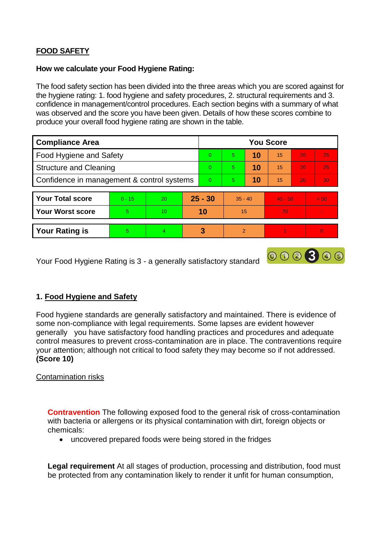# **FOOD SAFETY**

## **How we calculate your Food Hygiene Rating:**

 The food safety section has been divided into the three areas which you are scored against for the hygiene rating: 1. food hygiene and safety procedures, 2. structural requirements and 3. confidence in management/control procedures. Each section begins with a summary of what was observed and the score you have been given. Details of how these scores combine to produce your overall food hygiene rating are shown in the table.

| <b>Compliance Area</b>                     |          |                |          | <b>You Score</b> |                |    |           |                 |      |  |  |
|--------------------------------------------|----------|----------------|----------|------------------|----------------|----|-----------|-----------------|------|--|--|
| Food Hygiene and Safety                    |          |                |          | $\Omega$         | 5              | 10 | 15        | 20              | 25   |  |  |
| <b>Structure and Cleaning</b>              |          |                | $\Omega$ | 5                | 10             | 15 | 20        | 25              |      |  |  |
| Confidence in management & control systems |          |                | $\Omega$ | 5                | 10             | 15 | 20        | 30 <sup>°</sup> |      |  |  |
|                                            |          |                |          |                  |                |    |           |                 |      |  |  |
| <b>Your Total score</b>                    | $0 - 15$ | 20             |          | $25 - 30$        | $35 - 40$      |    | $45 - 50$ |                 | > 50 |  |  |
| <b>Your Worst score</b>                    | 5        | 10             |          | 10               | 15             |    | 20        |                 |      |  |  |
|                                            |          |                |          |                  |                |    |           |                 |      |  |  |
| <b>Your Rating is</b>                      | 5.       | $\overline{4}$ |          | 3                | $\overline{2}$ |    |           |                 | O    |  |  |

Your Food Hygiene Rating is 3 - a generally satisfactory standard

# **1. Food Hygiene and Safety**

 generally you have satisfactory food handling practices and procedures and adequate Food hygiene standards are generally satisfactory and maintained. There is evidence of some non-compliance with legal requirements. Some lapses are evident however control measures to prevent cross-contamination are in place. The contraventions require your attention; although not critical to food safety they may become so if not addressed. **(Score 10)** 

000300

## Contamination risks

 **Contravention** The following exposed food to the general risk of cross-contamination with bacteria or allergens or its physical contamination with dirt, foreign objects or chemicals:

uncovered prepared foods were being stored in the fridges

 be protected from any contamination likely to render it unfit for human consumption, **Legal requirement** At all stages of production, processing and distribution, food must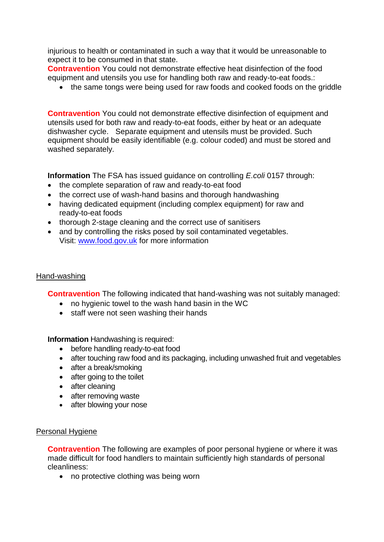injurious to health or contaminated in such a way that it would be unreasonable to expect it to be consumed in that state.

 **Contravention** You could not demonstrate effective heat disinfection of the food equipment and utensils you use for handling both raw and ready-to-eat foods.:

• the same tongs were being used for raw foods and cooked foods on the griddle

 dishwasher cycle. Separate equipment and utensils must be provided. Such equipment should be easily identifiable (e.g. colour coded) and must be stored and **Contravention** You could not demonstrate effective disinfection of equipment and utensils used for both raw and ready-to-eat foods, either by heat or an adequate washed separately.

**Information** The FSA has issued guidance on controlling *E.coli* 0157 through:

- the complete separation of raw and ready-to-eat food
- the correct use of wash-hand basins and thorough handwashing
- having dedicated equipment (including complex equipment) for raw and ready-to-eat foods
- thorough 2-stage cleaning and the correct use of sanitisers
- and by controlling the risks posed by soil contaminated vegetables. Visit: [www.food.gov.uk](http://www.food.gov.uk/) for more information

#### Hand-washing

**Contravention** The following indicated that hand-washing was not suitably managed:

- no hygienic towel to the wash hand basin in the WC
- staff were not seen washing their hands

**Information** Handwashing is required:

- before handling ready-to-eat food
- after touching raw food and its packaging, including unwashed fruit and vegetables
- after a break/smoking
- after going to the toilet
- after cleaning
- after removing waste
- after blowing your nose

#### Personal Hygiene

 made difficult for food handlers to maintain sufficiently high standards of personal **Contravention** The following are examples of poor personal hygiene or where it was cleanliness:

• no protective clothing was being worn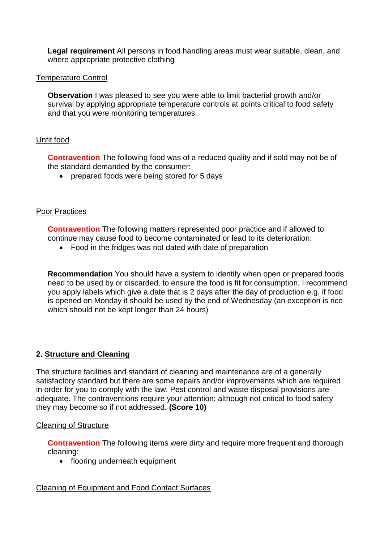**Legal requirement** All persons in food handling areas must wear suitable, clean, and where appropriate protective clothing

## Temperature Control

 survival by applying appropriate temperature controls at points critical to food safety **Observation** I was pleased to see you were able to limit bacterial growth and/or and that you were monitoring temperatures.

# Unfit food

**Contravention** The following food was of a reduced quality and if sold may not be of the standard demanded by the consumer:

• prepared foods were being stored for 5 days

# Poor Practices

 **Contravention** The following matters represented poor practice and if allowed to continue may cause food to become contaminated or lead to its deterioration:

Food in the fridges was not dated with date of preparation

 need to be used by or discarded, to ensure the food is fit for consumption. I recommend you apply labels which give a date that is 2 days after the day of production e.g. if food **Recommendation** You should have a system to identify when open or prepared foods is opened on Monday it should be used by the end of Wednesday (an exception is rice which should not be kept longer than 24 hours)

# **2. Structure and Cleaning**

 The structure facilities and standard of cleaning and maintenance are of a generally adequate. The contraventions require your attention; although not critical to food safety satisfactory standard but there are some repairs and/or improvements which are required in order for you to comply with the law. Pest control and waste disposal provisions are they may become so if not addressed. **(Score 10)** 

## Cleaning of Structure

**Contravention** The following items were dirty and require more frequent and thorough cleaning:

• flooring underneath equipment

# Cleaning of Equipment and Food Contact Surfaces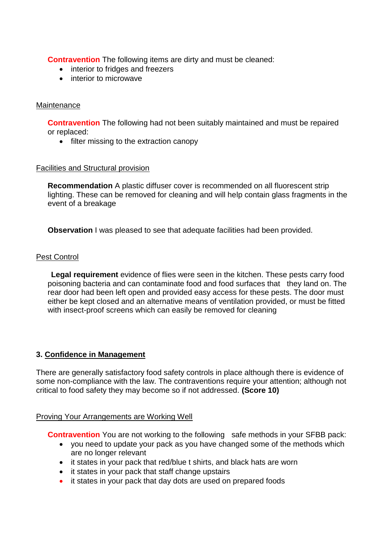**Contravention** The following items are dirty and must be cleaned:

- interior to fridges and freezers
- interior to microwave

#### **Maintenance**

**Contravention** The following had not been suitably maintained and must be repaired or replaced:

• filter missing to the extraction canopy

#### Facilities and Structural provision

 **Recommendation** A plastic diffuser cover is recommended on all fluorescent strip lighting. These can be removed for cleaning and will help contain glass fragments in the event of a breakage

**Observation** I was pleased to see that adequate facilities had been provided.

#### Pest Control

 poisoning bacteria and can contaminate food and food surfaces that they land on. The rear door had been left open and provided easy access for these pests. The door must either be kept closed and an alternative means of ventilation provided, or must be fitted **Legal requirement** evidence of flies were seen in the kitchen. These pests carry food with insect-proof screens which can easily be removed for cleaning

## **3. Confidence in Management**

There are generally satisfactory food safety controls in place although there is evidence of some non-compliance with the law. The contraventions require your attention; although not critical to food safety they may become so if not addressed. **(Score 10)** 

## Proving Your Arrangements are Working Well

**Contravention** You are not working to the following safe methods in your SFBB pack:

- you need to update your pack as you have changed some of the methods which are no longer relevant
- it states in your pack that red/blue t shirts, and black hats are worn
- it states in your pack that staff change upstairs
- it states in your pack that day dots are used on prepared foods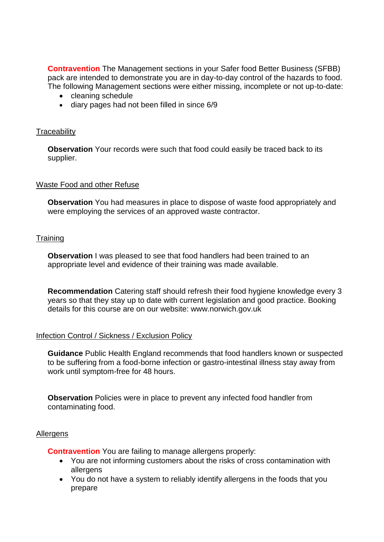pack are intended to demonstrate you are in day-to-day control of the hazards to food. **Contravention** The Management sections in your Safer food Better Business (SFBB) The following Management sections were either missing, incomplete or not up-to-date:

- cleaning schedule
- diary pages had not been filled in since 6/9

#### **Traceability**

**Observation** Your records were such that food could easily be traced back to its supplier.

#### Waste Food and other Refuse

 **Observation** You had measures in place to dispose of waste food appropriately and were employing the services of an approved waste contractor.

#### **Training**

 **Observation** I was pleased to see that food handlers had been trained to an appropriate level and evidence of their training was made available.

**Recommendation** Catering staff should refresh their food hygiene knowledge every 3 years so that they stay up to date with current legislation and good practice. Booking details for this course are on our website:<www.norwich.gov.uk>

## Infection Control / Sickness / Exclusion Policy

 **Guidance** Public Health England recommends that food handlers known or suspected to be suffering from a food-borne infection or gastro-intestinal illness stay away from work until symptom-free for 48 hours.

 **Observation** Policies were in place to prevent any infected food handler from contaminating food.

#### Allergens

**Contravention** You are failing to manage allergens properly:

- You are not informing customers about the risks of cross contamination with allergens
- You do not have a system to reliably identify allergens in the foods that you prepare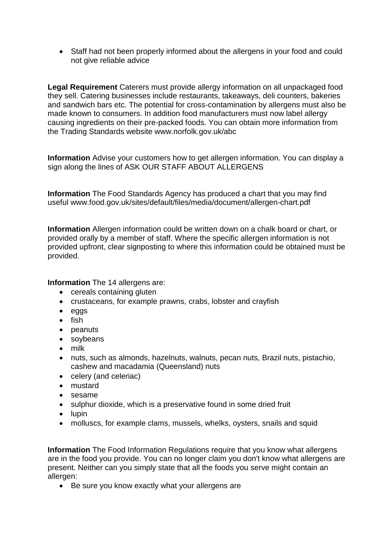Staff had not been properly informed about the allergens in your food and could not give reliable advice

 **Legal Requirement** Caterers must provide allergy information on all unpackaged food made known to consumers. In addition food manufacturers must now label allergy causing ingredients on their pre-packed foods. You can obtain more information from they sell. Catering businesses include restaurants, takeaways, deli counters, bakeries and sandwich bars etc. The potential for cross-contamination by allergens must also be the Trading Standards website <www.norfolk.gov.uk/abc>

 **Information** Advise your customers how to get allergen information. You can display a sign along the lines of ASK OUR STAFF ABOUT ALLERGENS

 **Information** The Food Standards Agency has produced a chart that you may find useful <www.food.gov.uk/sites/default/files/media/document/allergen-chart.pdf>

 **Information** Allergen information could be written down on a chalk board or chart, or provided upfront, clear signposting to where this information could be obtained must be provided orally by a member of staff. Where the specific allergen information is not provided.

**Information** The 14 allergens are:

- cereals containing gluten
- crustaceans, for example prawns, crabs, lobster and crayfish
- eggs
- $\bullet$  fish
- peanuts
- soybeans
- milk
- nuts, such as almonds, hazelnuts, walnuts, pecan nuts, Brazil nuts, pistachio, cashew and macadamia (Queensland) nuts
- celery (and celeriac)
- mustard
- sesame
- sulphur dioxide, which is a preservative found in some dried fruit
- $\bullet$  lupin
- molluscs, for example clams, mussels, whelks, oysters, snails and squid

 present. Neither can you simply state that all the foods you serve might contain an **Information** The Food Information Regulations require that you know what allergens are in the food you provide. You can no longer claim you don't know what allergens are allergen:

Be sure you know exactly what your allergens are